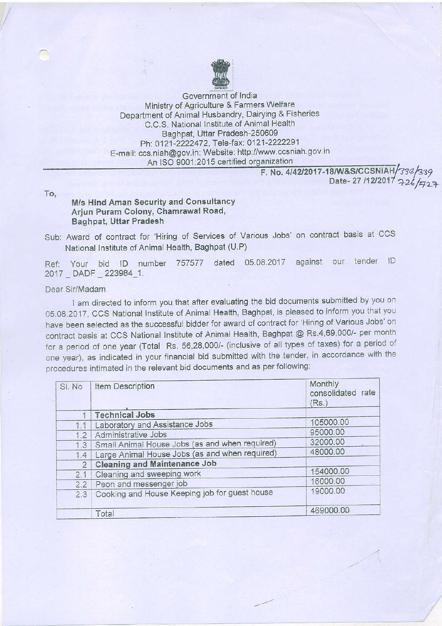

Government of lndia Ministry of Agriculture & Farmers Welfare Department of Animal Husbandry, Dairying & Fisheries C.C.S. National Institute of Animal Health Baghpat, Uttar Pradesh-250609 Ph: 0121-2222472, Tele-fax: 0121-2222291 E-mail: ccs.niah@gov.in; Website: http://www.ccsniah.gov.in An ISO 9001:2015 certified organization

F. No. 4/42/2017-18/W&S/CCSNIAH/334/339 Date- 27 /12/2017 구26/<sub>구2구</sub>

To.

## M/s Hind Aman Security and Consuttancy Arjun Puram Colony, Chamrawal Road, Baghpat, Uttar Pradesh

Sub: Award of contract for 'Hiring of Services of Various Jobs' on contract basis at CCS National Institute of Animal Health, Baghpat (U.P)

Ref: Your bid ID number 757577 dated 05.08.2017 against our tender ID 2017 DADF 223984\_1.

## Dear Sir/Madarn

I am directed to inform you that after evaluating the bid documents submitted by you on 05.08.2017, CCS National Institute of Animal Health, Baghpat, is pleased to inform you that you have been selected as the successful bidder for award of contract for 'Hiring of Various Jobs' on contract basis at CCS National Institute of Animal Health, Baghpat @ Rs 4,69,000/- per month for a period of one year (Total Rs. 56,28,000/- (inclusive of all types of taxes) for a period of one year), as indicated in your financial bid submitted with the tender, in accordance with the procedures intimated in the relevant bid documents and as per following:

| SI. No         | Item Description                               | Monthly<br>consolidated rate<br>(Rs.) |
|----------------|------------------------------------------------|---------------------------------------|
| 1              | <b>Technical Jobs</b>                          |                                       |
| 1.1            | Laboratory and Assistance Jobs                 | 105000.00                             |
| 1.2            | Administrative Jobs                            | 95000.00                              |
| 1.3            | Small Animal House Jobs (as and when required) | 32000.00                              |
| 1,4            | Large Animal House Jobs (as and when required) | 48000.00                              |
| $\overline{2}$ | <b>Cleaning and Maintenance Job</b>            |                                       |
| 2.1            | Cleaning and sweeping work                     | 154000.00                             |
| 2.2            | Peon and messenger job                         | 16000.00                              |
| 2.3            | Cooking and House Keeping job for guest house  | 19000.00                              |
|                | Total                                          | 469000.00                             |